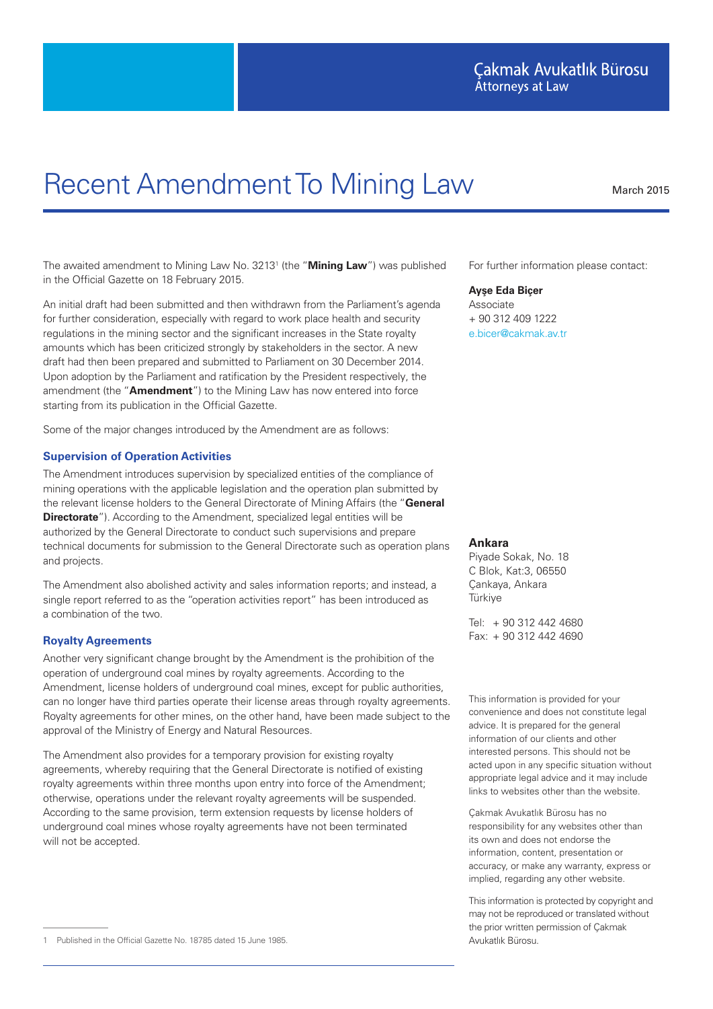# Çakmak Avukatlık Bürosu **Attorneys at Law**

# Recent Amendment To Mining Law March 2015

The awaited amendment to Mining Law No. 3213<sup>1</sup> (the "**Mining Law**") was published in the Official Gazette on 18 February 2015.

An initial draft had been submitted and then withdrawn from the Parliament's agenda for further consideration, especially with regard to work place health and security regulations in the mining sector and the significant increases in the State royalty amounts which has been criticized strongly by stakeholders in the sector. A new draft had then been prepared and submitted to Parliament on 30 December 2014. Upon adoption by the Parliament and ratification by the President respectively, the amendment (the "**Amendment**") to the Mining Law has now entered into force starting from its publication in the Official Gazette.

Some of the major changes introduced by the Amendment are as follows:

### **Supervision of Operation Activities**

The Amendment introduces supervision by specialized entities of the compliance of mining operations with the applicable legislation and the operation plan submitted by the relevant license holders to the General Directorate of Mining Affairs (the "**General Directorate**"). According to the Amendment, specialized legal entities will be authorized by the General Directorate to conduct such supervisions and prepare technical documents for submission to the General Directorate such as operation plans and projects.

The Amendment also abolished activity and sales information reports; and instead, a single report referred to as the "operation activities report" has been introduced as a combination of the two.

## **Royalty Agreements**

Another very significant change brought by the Amendment is the prohibition of the operation of underground coal mines by royalty agreements. According to the Amendment, license holders of underground coal mines, except for public authorities, can no longer have third parties operate their license areas through royalty agreements. Royalty agreements for other mines, on the other hand, have been made subject to the approval of the Ministry of Energy and Natural Resources.

The Amendment also provides for a temporary provision for existing royalty agreements, whereby requiring that the General Directorate is notified of existing royalty agreements within three months upon entry into force of the Amendment; otherwise, operations under the relevant royalty agreements will be suspended. According to the same provision, term extension requests by license holders of underground coal mines whose royalty agreements have not been terminated will not be accepted.

#### **Ayşe Eda Biçer**

Associate + 90 312 409 1222 e.bicer@cakmak.av.tr

#### **Ankara**

Piyade Sokak, No. 18 C Blok, Kat:3, 06550 Çankaya, Ankara **Türkiye** 

Tel: + 90 312 442 4680 Fax: + 90 312 442 4690

This information is provided for your convenience and does not constitute legal advice. It is prepared for the general information of our clients and other interested persons. This should not be acted upon in any specific situation without appropriate legal advice and it may include links to websites other than the website.

Çakmak Avukatlık Bürosu has no responsibility for any websites other than its own and does not endorse the information, content, presentation or accuracy, or make any warranty, express or implied, regarding any other website.

This information is protected by copyright and may not be reproduced or translated without the prior written permission of Çakmak

For further information please contact:

<sup>1</sup> Published in the Official Gazette No. 18785 dated 15 June 1985. Avukatlık Bürosu.